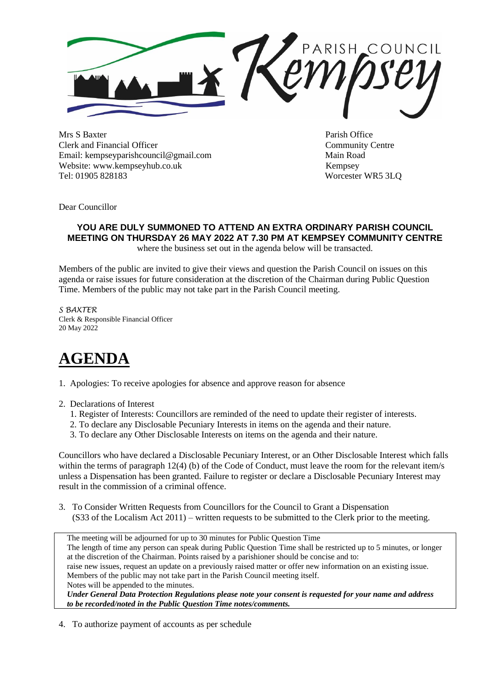

Mrs S Baxter Parish Office Clerk and Financial Officer Community Centre Email: kempseyparishcouncil@gmail.com Main Road Website: www.kempseyhub.co.uk Kempsey Tel: 01905 828183 Worcester WR5 3LQ

Dear Councillor

## **YOU ARE DULY SUMMONED TO ATTEND AN EXTRA ORDINARY PARISH COUNCIL MEETING ON THURSDAY 26 MAY 2022 AT 7.30 PM AT KEMPSEY COMMUNITY CENTRE**

where the business set out in the agenda below will be transacted.

Members of the public are invited to give their views and question the Parish Council on issues on this agenda or raise issues for future consideration at the discretion of the Chairman during Public Question Time. Members of the public may not take part in the Parish Council meeting.

*S BAXTER* Clerk & Responsible Financial Officer 20 May 2022

## **AGENDA**

1. Apologies: To receive apologies for absence and approve reason for absence

- 2. Declarations of Interest
	- 1. Register of Interests: Councillors are reminded of the need to update their register of interests.
	- 2. To declare any Disclosable Pecuniary Interests in items on the agenda and their nature.
	- 3. To declare any Other Disclosable Interests on items on the agenda and their nature.

Councillors who have declared a Disclosable Pecuniary Interest, or an Other Disclosable Interest which falls within the terms of paragraph 12(4) (b) of the Code of Conduct, must leave the room for the relevant item/s unless a Dispensation has been granted. Failure to register or declare a Disclosable Pecuniary Interest may result in the commission of a criminal offence.

3. To Consider Written Requests from Councillors for the Council to Grant a Dispensation (S33 of the Localism Act 2011) – written requests to be submitted to the Clerk prior to the meeting.

 The meeting will be adjourned for up to 30 minutes for Public Question Time The length of time any person can speak during Public Question Time shall be restricted up to 5 minutes, or longer at the discretion of the Chairman. Points raised by a parishioner should be concise and to: raise new issues, request an update on a previously raised matter or offer new information on an existing issue. Members of the public may not take part in the Parish Council meeting itself. Notes will be appended to the minutes. *Under General Data Protection Regulations please note your consent is requested for your name and address to be recorded/noted in the Public Question Time notes/comments.*

4. To authorize payment of accounts as per schedule